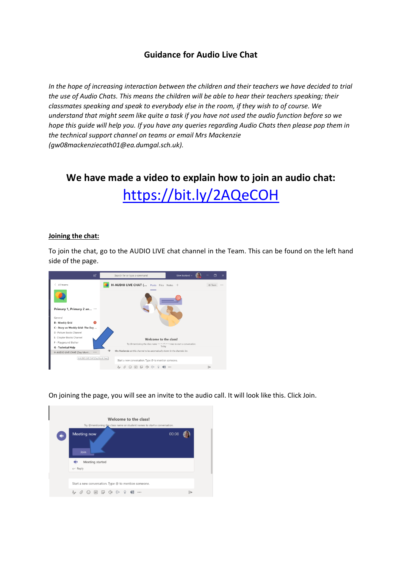## **Guidance for Audio Live Chat**

*In the hope of increasing interaction between the children and their teachers we have decided to trial the use of Audio Chats. This means the children will be able to hear their teachers speaking; their classmates speaking and speak to everybody else in the room, if they wish to of course. We understand that might seem like quite a task if you have not used the audio function before so we hope this guide will help you. If you have any queries regarding Audio Chats then please pop them in the technical support channel on teams or email Mrs Mackenzie (gw08mackenziecath01@ea.dumgal.sch.uk).*

**We have made a video to explain how to join an audio chat:**  <https://bit.ly/2AQeCOH>

## **Joining the chat:**

To join the chat, go to the AUDIO LIVE chat channel in the Team. This can be found on the left hand side of the page.



On joining the page, you will see an invite to the audio call. It will look like this. Click Join.

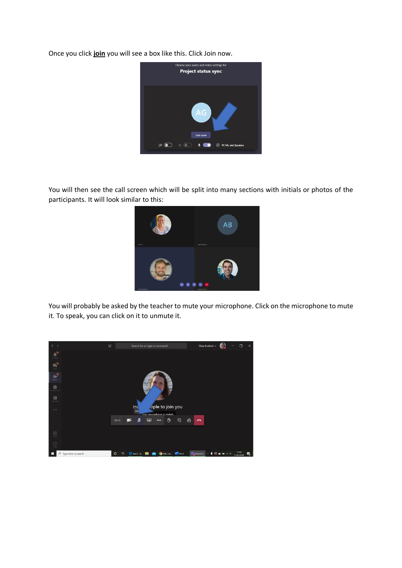Once you click **join** you will see a box like this. Click Join now.



You will then see the call screen which will be split into many sections with initials or photos of the participants. It will look similar to this:



You will probably be asked by the teacher to mute your microphone. Click on the microphone to mute it. To speak, you can click on it to unmute it.